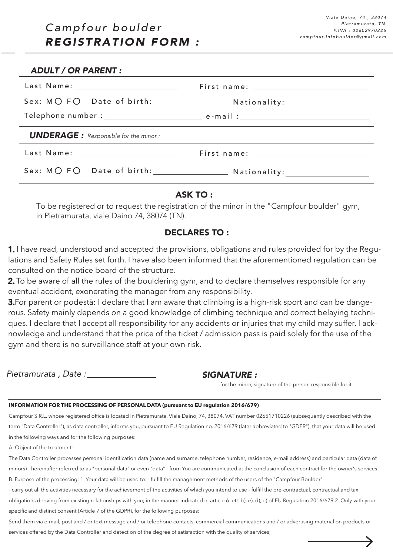### *ADULT / OR PARENT :*

| <b>UNDERAGE:</b> Responsible for the minor:                                                                     |  |
|-----------------------------------------------------------------------------------------------------------------|--|
| Last Name: University of the University of the University of the University of the University of the University |  |

## ASK TO :

To be registered or to request the registration of the minor in the "Campfour boulder" gym, in Pietramurata, viale Daino 74, 38074 (TN).

# DECLARES TO :

1. I have read, understood and accepted the provisions, obligations and rules provided for by the Regulations and Safety Rules set forth. I have also been informed that the aforementioned regulation can be consulted on the notice board of the structure.

2. To be aware of all the rules of the bouldering gym, and to declare themselves responsible for any eventual accident, exonerating the manager from any responsibility.

**3.**For parent or podestà: I declare that I am aware that climbing is a high-risk sport and can be dangerous. Safety mainly depends on a good knowledge of climbing technique and correct belaying techniques. I declare that I accept all responsibility for any accidents or injuries that my child may suffer. I acknowledge and understand that the price of the ticket / admission pass is paid solely for the use of the gym and there is no surveillance staff at your own risk.

*Pietramurata , Date : SIGNATURE :*

for the minor, signature of the person responsible for it

### **INFORMATION FOR THE PROCESSING OF PERSONAL DATA (pursuant to EU regulation 2016/679)**

Campfour S.R.L. whose registered office is located in Pietramurata, Viale Daino, 74, 38074, VAT number 02651710226 (subsequently described with the term "Data Controller"), as data controller, informs you, pursuant to EU Regulation no. 2016/679 (later abbreviated to "GDPR"), that your data will be used in the following ways and for the following purposes:

A. Object of the treatment:

The Data Controller processes personal identification data (name and surname, telephone number, residence, e-mail address) and particular data (data of minors) - hereinafter referred to as "personal data" or even "data" - from You are communicated at the conclusion of each contract for the owner's services. B. Purpose of the processing: 1. Your data will be used to: - fulfill the management methods of the users of the "Campfour Boulder"

- carry out all the activities necessary for the achievement of the activities of which you intend to use - fulfill the pre-contractual, contractual and tax

obligations deriving from existing relationships with you; in the manner indicated in article 6 lett. b), e), d), e) of EU Regulation 2016/679.2. Only with your specific and distinct consent (Article 7 of the GDPR), for the following purposes:

Send them via e-mail, post and / or text message and / or telephone contacts, commercial communications and / or advertising material on products or services offered by the Data Controller and detection of the degree of satisfaction with the quality of services;